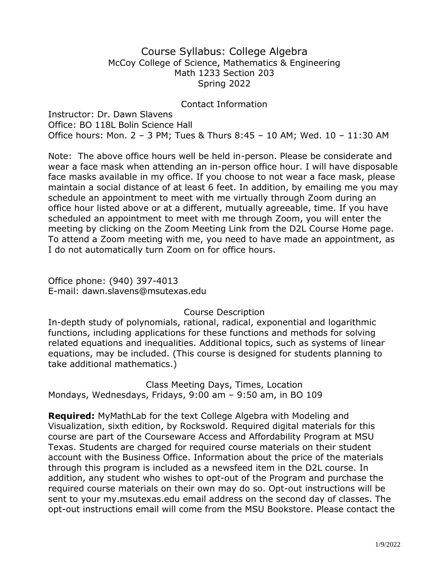## Course Syllabus: College Algebra McCoy College of Science, Mathematics & Engineering Math 1233 Section 203 Spring 2022

#### Contact Information

Instructor: Dr. Dawn Slavens Office: BO 118L Bolin Science Hall Office hours: Mon. 2 – 3 PM; Tues & Thurs 8:45 – 10 AM; Wed. 10 – 11:30 AM

Note: The above office hours well be held in-person. Please be considerate and wear a face mask when attending an in-person office hour. I will have disposable face masks available in my office. If you choose to not wear a face mask, please maintain a social distance of at least 6 feet. In addition, by emailing me you may schedule an appointment to meet with me virtually through Zoom during an office hour listed above or at a different, mutually agreeable, time. If you have scheduled an appointment to meet with me through Zoom, you will enter the meeting by clicking on the Zoom Meeting Link from the D2L Course Home page. To attend a Zoom meeting with me, you need to have made an appointment, as I do not automatically turn Zoom on for office hours.

Office phone: (940) 397-4013 E-mail: dawn.slavens@msutexas.edu

#### Course Description

In-depth study of polynomials, rational, radical, exponential and logarithmic functions, including applications for these functions and methods for solving related equations and inequalities. Additional topics, such as systems of linear equations, may be included. (This course is designed for students planning to take additional mathematics.)

Class Meeting Days, Times, Location Mondays, Wednesdays, Fridays, 9:00 am – 9:50 am, in BO 109

**Required:** MyMathLab for the text College Algebra with Modeling and Visualization, sixth edition, by Rockswold. Required digital materials for this course are part of the Courseware Access and Affordability Program at MSU Texas. Students are charged for required course materials on their student account with the Business Office. Information about the price of the materials through this program is included as a newsfeed item in the D2L course. In addition, any student who wishes to opt-out of the Program and purchase the required course materials on their own may do so. Opt-out instructions will be sent to your my.msutexas.edu email address on the second day of classes. The opt-out instructions email will come from the MSU Bookstore. Please contact the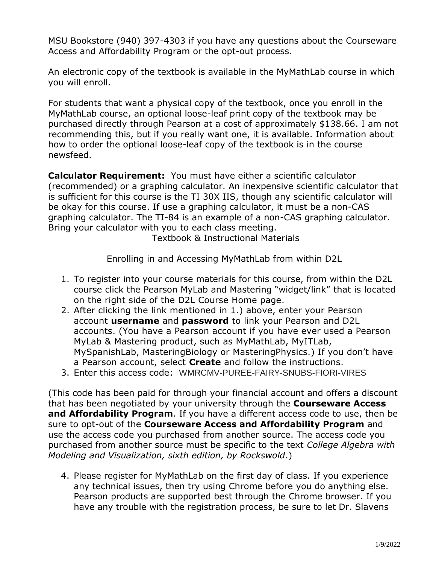MSU Bookstore (940) 397-4303 if you have any questions about the Courseware Access and Affordability Program or the opt-out process.

An electronic copy of the textbook is available in the MyMathLab course in which you will enroll.

For students that want a physical copy of the textbook, once you enroll in the MyMathLab course, an optional loose-leaf print copy of the textbook may be purchased directly through Pearson at a cost of approximately \$138.66. I am not recommending this, but if you really want one, it is available. Information about how to order the optional loose-leaf copy of the textbook is in the course newsfeed.

**Calculator Requirement:** You must have either a scientific calculator (recommended) or a graphing calculator. An inexpensive scientific calculator that is sufficient for this course is the TI 30X IIS, though any scientific calculator will be okay for this course. If use a graphing calculator, it must be a non-CAS graphing calculator. The TI-84 is an example of a non-CAS graphing calculator. Bring your calculator with you to each class meeting.

Textbook & Instructional Materials

Enrolling in and Accessing MyMathLab from within D2L

- 1. To register into your course materials for this course, from within the D2L course click the Pearson MyLab and Mastering "widget/link" that is located on the right side of the D2L Course Home page.
- 2. After clicking the link mentioned in 1.) above, enter your Pearson account **username** and **password** to link your Pearson and D2L accounts. (You have a Pearson account if you have ever used a Pearson MyLab & Mastering product, such as MyMathLab, MyITLab, MySpanishLab, MasteringBiology or MasteringPhysics.) If you don't have a Pearson account, select **Create** and follow the instructions.
- 3. Enter this access code: WMRCMV-PUREE-FAIRY-SNUBS-FIORI-VIRES

(This code has been paid for through your financial account and offers a discount that has been negotiated by your university through the **Courseware Access and Affordability Program**. If you have a different access code to use, then be sure to opt-out of the **Courseware Access and Affordability Program** and use the access code you purchased from another source. The access code you purchased from another source must be specific to the text *College Algebra with Modeling and Visualization, sixth edition, by Rockswold*.)

4. Please register for MyMathLab on the first day of class. If you experience any technical issues, then try using Chrome before you do anything else. Pearson products are supported best through the Chrome browser. If you have any trouble with the registration process, be sure to let Dr. Slavens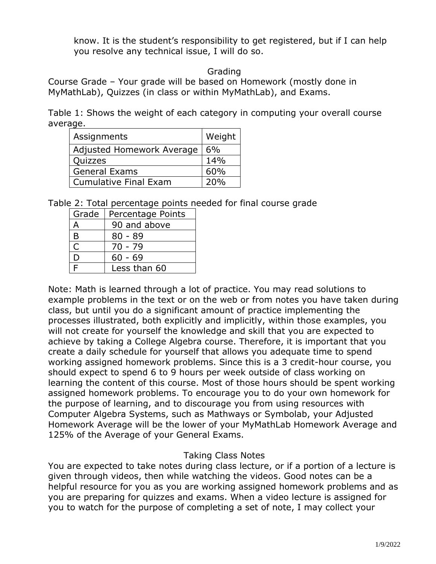know. It is the student's responsibility to get registered, but if I can help you resolve any technical issue, I will do so.

## Grading

Course Grade – Your grade will be based on Homework (mostly done in MyMathLab), Quizzes (in class or within MyMathLab), and Exams.

Table 1: Shows the weight of each category in computing your overall course average.

| Assignments                  | Weight |
|------------------------------|--------|
| Adjusted Homework Average    | 6%     |
| Quizzes                      | 14%    |
| <b>General Exams</b>         | 60%    |
| <b>Cumulative Final Exam</b> | 20%    |

Table 2: Total percentage points needed for final course grade

| Grade        | Percentage Points |
|--------------|-------------------|
| А            | 90 and above      |
| B            | $80 - 89$         |
| $\mathsf{C}$ | $70 - 79$         |
| D            | $60 - 69$         |
| F            | Less than 60      |

Note: Math is learned through a lot of practice. You may read solutions to example problems in the text or on the web or from notes you have taken during class, but until you do a significant amount of practice implementing the processes illustrated, both explicitly and implicitly, within those examples, you will not create for yourself the knowledge and skill that you are expected to achieve by taking a College Algebra course. Therefore, it is important that you create a daily schedule for yourself that allows you adequate time to spend working assigned homework problems. Since this is a 3 credit-hour course, you should expect to spend 6 to 9 hours per week outside of class working on learning the content of this course. Most of those hours should be spent working assigned homework problems. To encourage you to do your own homework for the purpose of learning, and to discourage you from using resources with Computer Algebra Systems, such as Mathways or Symbolab, your Adjusted Homework Average will be the lower of your MyMathLab Homework Average and 125% of the Average of your General Exams.

# Taking Class Notes

You are expected to take notes during class lecture, or if a portion of a lecture is given through videos, then while watching the videos. Good notes can be a helpful resource for you as you are working assigned homework problems and as you are preparing for quizzes and exams. When a video lecture is assigned for you to watch for the purpose of completing a set of note, I may collect your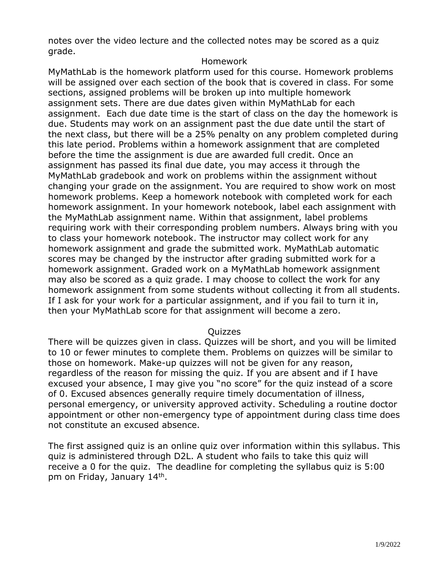notes over the video lecture and the collected notes may be scored as a quiz grade.

#### Homework

MyMathLab is the homework platform used for this course. Homework problems will be assigned over each section of the book that is covered in class. For some sections, assigned problems will be broken up into multiple homework assignment sets. There are due dates given within MyMathLab for each assignment. Each due date time is the start of class on the day the homework is due. Students may work on an assignment past the due date until the start of the next class, but there will be a 25% penalty on any problem completed during this late period. Problems within a homework assignment that are completed before the time the assignment is due are awarded full credit. Once an assignment has passed its final due date, you may access it through the MyMathLab gradebook and work on problems within the assignment without changing your grade on the assignment. You are required to show work on most homework problems. Keep a homework notebook with completed work for each homework assignment. In your homework notebook, label each assignment with the MyMathLab assignment name. Within that assignment, label problems requiring work with their corresponding problem numbers. Always bring with you to class your homework notebook. The instructor may collect work for any homework assignment and grade the submitted work. MyMathLab automatic scores may be changed by the instructor after grading submitted work for a homework assignment. Graded work on a MyMathLab homework assignment may also be scored as a quiz grade. I may choose to collect the work for any homework assignment from some students without collecting it from all students. If I ask for your work for a particular assignment, and if you fail to turn it in, then your MyMathLab score for that assignment will become a zero.

## Quizzes

There will be quizzes given in class. Quizzes will be short, and you will be limited to 10 or fewer minutes to complete them. Problems on quizzes will be similar to those on homework. Make-up quizzes will not be given for any reason, regardless of the reason for missing the quiz. If you are absent and if I have excused your absence, I may give you "no score" for the quiz instead of a score of 0. Excused absences generally require timely documentation of illness, personal emergency, or university approved activity. Scheduling a routine doctor appointment or other non-emergency type of appointment during class time does not constitute an excused absence.

The first assigned quiz is an online quiz over information within this syllabus. This quiz is administered through D2L. A student who fails to take this quiz will receive a 0 for the quiz. The deadline for completing the syllabus quiz is 5:00 pm on Friday, January 14<sup>th</sup>.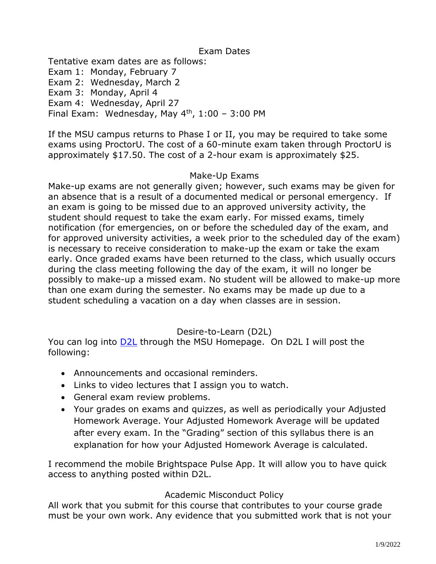## Exam Dates

Tentative exam dates are as follows:

Exam 1: Monday, February 7

Exam 2: Wednesday, March 2

Exam 3: Monday, April 4

Exam 4: Wednesday, April 27

Final Exam: Wednesday, May  $4<sup>th</sup>$ , 1:00 – 3:00 PM

If the MSU campus returns to Phase I or II, you may be required to take some exams using ProctorU. The cost of a 60-minute exam taken through ProctorU is approximately \$17.50. The cost of a 2-hour exam is approximately \$25.

#### Make-Up Exams

Make-up exams are not generally given; however, such exams may be given for an absence that is a result of a documented medical or personal emergency. If an exam is going to be missed due to an approved university activity, the student should request to take the exam early. For missed exams, timely notification (for emergencies, on or before the scheduled day of the exam, and for approved university activities, a week prior to the scheduled day of the exam) is necessary to receive consideration to make-up the exam or take the exam early. Once graded exams have been returned to the class, which usually occurs during the class meeting following the day of the exam, it will no longer be possibly to make-up a missed exam. No student will be allowed to make-up more than one exam during the semester. No exams may be made up due to a student scheduling a vacation on a day when classes are in session.

# Desire-to-Learn (D2L)

You can log into [D2L](https://d2l.mwsu.edu/) through the MSU Homepage. On D2L I will post the following:

- Announcements and occasional reminders.
- Links to video lectures that I assign you to watch.
- General exam review problems.
- Your grades on exams and quizzes, as well as periodically your Adjusted Homework Average. Your Adjusted Homework Average will be updated after every exam. In the "Grading" section of this syllabus there is an explanation for how your Adjusted Homework Average is calculated.

I recommend the mobile Brightspace Pulse App. It will allow you to have quick access to anything posted within D2L.

## Academic Misconduct Policy

All work that you submit for this course that contributes to your course grade must be your own work. Any evidence that you submitted work that is not your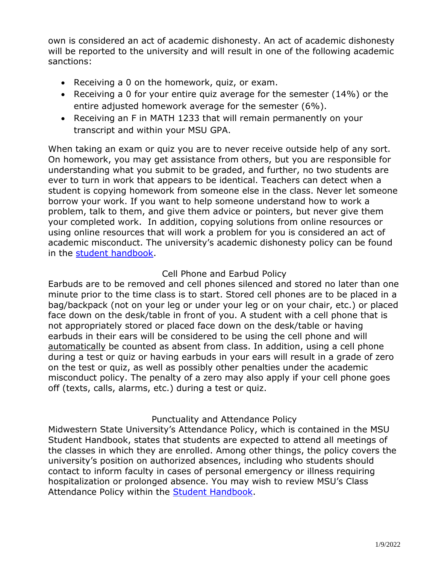own is considered an act of academic dishonesty. An act of academic dishonesty will be reported to the university and will result in one of the following academic sanctions:

- Receiving a 0 on the homework, quiz, or exam.
- Receiving a 0 for your entire quiz average for the semester (14%) or the entire adjusted homework average for the semester (6%).
- Receiving an F in MATH 1233 that will remain permanently on your transcript and within your MSU GPA.

When taking an exam or quiz you are to never receive outside help of any sort. On homework, you may get assistance from others, but you are responsible for understanding what you submit to be graded, and further, no two students are ever to turn in work that appears to be identical. Teachers can detect when a student is copying homework from someone else in the class. Never let someone borrow your work. If you want to help someone understand how to work a problem, talk to them, and give them advice or pointers, but never give them your completed work. In addition, copying solutions from online resources or using online resources that will work a problem for you is considered an act of academic misconduct. The university's academic dishonesty policy can be found in the [student handbook.](https://msutexas.edu/student-life/_assets/files/handbook.pdf)

# Cell Phone and Earbud Policy

Earbuds are to be removed and cell phones silenced and stored no later than one minute prior to the time class is to start. Stored cell phones are to be placed in a bag/backpack (not on your leg or under your leg or on your chair, etc.) or placed face down on the desk/table in front of you. A student with a cell phone that is not appropriately stored or placed face down on the desk/table or having earbuds in their ears will be considered to be using the cell phone and will automatically be counted as absent from class. In addition, using a cell phone during a test or quiz or having earbuds in your ears will result in a grade of zero on the test or quiz, as well as possibly other penalties under the academic misconduct policy. The penalty of a zero may also apply if your cell phone goes off (texts, calls, alarms, etc.) during a test or quiz.

## Punctuality and Attendance Policy

Midwestern State University's Attendance Policy, which is contained in the MSU Student Handbook, states that students are expected to attend all meetings of the classes in which they are enrolled. Among other things, the policy covers the university's position on authorized absences, including who students should contact to inform faculty in cases of personal emergency or illness requiring hospitalization or prolonged absence. You may wish to review MSU's Class Attendance Policy within the [Student Handbook.](https://msutexas.edu/student-life/_assets/files/handbook.pdf)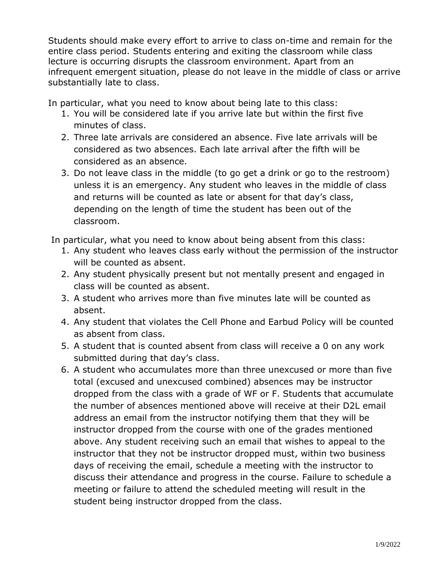Students should make every effort to arrive to class on-time and remain for the entire class period. Students entering and exiting the classroom while class lecture is occurring disrupts the classroom environment. Apart from an infrequent emergent situation, please do not leave in the middle of class or arrive substantially late to class.

In particular, what you need to know about being late to this class:

- 1. You will be considered late if you arrive late but within the first five minutes of class.
- 2. Three late arrivals are considered an absence. Five late arrivals will be considered as two absences. Each late arrival after the fifth will be considered as an absence.
- 3. Do not leave class in the middle (to go get a drink or go to the restroom) unless it is an emergency. Any student who leaves in the middle of class and returns will be counted as late or absent for that day's class, depending on the length of time the student has been out of the classroom.

In particular, what you need to know about being absent from this class:

- 1. Any student who leaves class early without the permission of the instructor will be counted as absent.
- 2. Any student physically present but not mentally present and engaged in class will be counted as absent.
- 3. A student who arrives more than five minutes late will be counted as absent.
- 4. Any student that violates the Cell Phone and Earbud Policy will be counted as absent from class.
- 5. A student that is counted absent from class will receive a 0 on any work submitted during that day's class.
- 6. A student who accumulates more than three unexcused or more than five total (excused and unexcused combined) absences may be instructor dropped from the class with a grade of WF or F. Students that accumulate the number of absences mentioned above will receive at their D2L email address an email from the instructor notifying them that they will be instructor dropped from the course with one of the grades mentioned above. Any student receiving such an email that wishes to appeal to the instructor that they not be instructor dropped must, within two business days of receiving the email, schedule a meeting with the instructor to discuss their attendance and progress in the course. Failure to schedule a meeting or failure to attend the scheduled meeting will result in the student being instructor dropped from the class.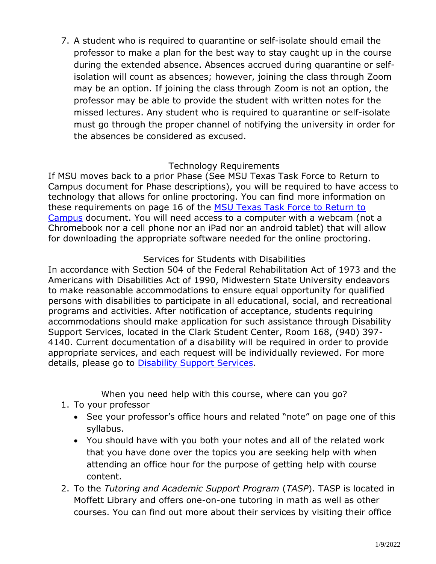7. A student who is required to quarantine or self-isolate should email the professor to make a plan for the best way to stay caught up in the course during the extended absence. Absences accrued during quarantine or selfisolation will count as absences; however, joining the class through Zoom may be an option. If joining the class through Zoom is not an option, the professor may be able to provide the student with written notes for the missed lectures. Any student who is required to quarantine or self-isolate must go through the proper channel of notifying the university in order for the absences be considered as excused.

# Technology Requirements

If MSU moves back to a prior Phase (See MSU Texas Task Force to Return to Campus document for Phase descriptions), you will be required to have access to technology that allows for online proctoring. You can find more information on these requirements on page 16 of the MSU Texas Task Force to Return to [Campus](https://msutexas.edu/return-to-campus/_assets/files/return-to-campus-taskforce-8-4-20.pdf) document. You will need access to a computer with a webcam (not a Chromebook nor a cell phone nor an iPad nor an android tablet) that will allow for downloading the appropriate software needed for the online proctoring.

# Services for Students with Disabilities

In accordance with Section 504 of the Federal Rehabilitation Act of 1973 and the Americans with Disabilities Act of 1990, Midwestern State University endeavors to make reasonable accommodations to ensure equal opportunity for qualified persons with disabilities to participate in all educational, social, and recreational programs and activities. After notification of acceptance, students requiring accommodations should make application for such assistance through Disability Support Services, located in the Clark Student Center, Room 168, (940) 397- 4140. Current documentation of a disability will be required in order to provide appropriate services, and each request will be individually reviewed. For more details, please go to **Disability Support Services**.

When you need help with this course, where can you go?

- 1. To your professor
	- See your professor's office hours and related "note" on page one of this syllabus.
	- You should have with you both your notes and all of the related work that you have done over the topics you are seeking help with when attending an office hour for the purpose of getting help with course content.
- 2. To the *Tutoring and Academic Support Program* (*TASP*). TASP is located in Moffett Library and offers one-on-one tutoring in math as well as other courses. You can find out more about their services by visiting their office